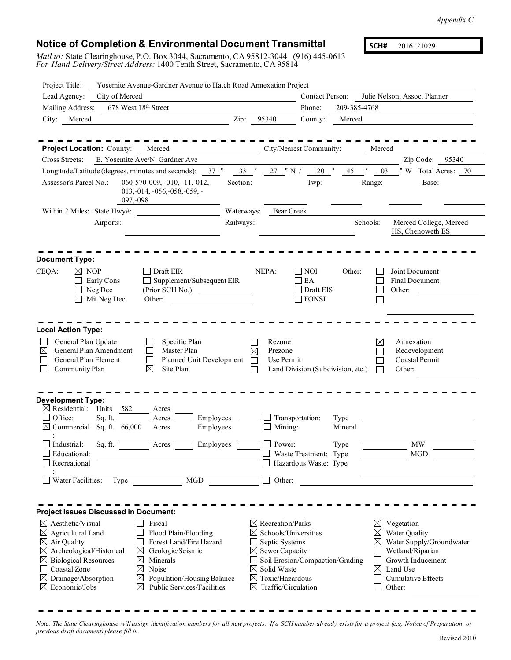## **Notice of Completion & Environmental Document Transmittal**

*Mail to:* State Clearinghouse, P.O. Box 3044, Sacramento, CA 95812-3044 (916) 445-0613 *For Hand Delivery/Street Address:* 1400 Tenth Street, Sacramento, CA 95814

**SCH#** 2016121029

| Project Title:                                                                                                                                                                                                 | Yosemite Avenue-Gardner Avenue to Hatch Road Annexation Project                                                                                                                                                                 |                            |                                                                                                                                        |                                                                                            |                 |                                      |                                                                                                                                              |
|----------------------------------------------------------------------------------------------------------------------------------------------------------------------------------------------------------------|---------------------------------------------------------------------------------------------------------------------------------------------------------------------------------------------------------------------------------|----------------------------|----------------------------------------------------------------------------------------------------------------------------------------|--------------------------------------------------------------------------------------------|-----------------|--------------------------------------|----------------------------------------------------------------------------------------------------------------------------------------------|
| Lead Agency:                                                                                                                                                                                                   | City of Merced                                                                                                                                                                                                                  |                            |                                                                                                                                        | <b>Contact Person:</b>                                                                     |                 |                                      | Julie Nelson, Assoc. Planner                                                                                                                 |
| Mailing Address:                                                                                                                                                                                               | 678 West 18th Street                                                                                                                                                                                                            |                            |                                                                                                                                        | Phone:                                                                                     | 209-385-4768    |                                      |                                                                                                                                              |
| City:<br>Merced                                                                                                                                                                                                |                                                                                                                                                                                                                                 | Zip:                       | 95340                                                                                                                                  | County:                                                                                    | Merced          |                                      |                                                                                                                                              |
|                                                                                                                                                                                                                |                                                                                                                                                                                                                                 |                            |                                                                                                                                        |                                                                                            |                 |                                      |                                                                                                                                              |
| <b>Project Location: County:</b>                                                                                                                                                                               | Merced                                                                                                                                                                                                                          |                            |                                                                                                                                        | City/Nearest Community:                                                                    |                 | Merced                               |                                                                                                                                              |
| Cross Streets:                                                                                                                                                                                                 | E. Yosemite Ave/N. Gardner Ave                                                                                                                                                                                                  |                            |                                                                                                                                        |                                                                                            |                 |                                      | Zip Code:<br>95340                                                                                                                           |
|                                                                                                                                                                                                                | $37$ $^{\circ}$<br>Longitude/Latitude (degrees, minutes and seconds):                                                                                                                                                           | 33'                        | $27$ "N /                                                                                                                              | $\circ$<br>120                                                                             | 45              | 03                                   | "W Total Acres: 70                                                                                                                           |
| Assessor's Parcel No.:                                                                                                                                                                                         | $060-570-009, -010, -11, -012, -$<br>$013, -014, -056, -058, -059, -$<br>097,-098                                                                                                                                               | Section:                   |                                                                                                                                        | Twp:                                                                                       |                 | Range:                               | Base:                                                                                                                                        |
| Within 2 Miles: State Hwy#:                                                                                                                                                                                    |                                                                                                                                                                                                                                 | Waterways:                 | <b>Bear Creek</b>                                                                                                                      |                                                                                            |                 |                                      |                                                                                                                                              |
| Airports:                                                                                                                                                                                                      |                                                                                                                                                                                                                                 | Railways:                  |                                                                                                                                        |                                                                                            |                 | Schools:                             | Merced College, Merced<br>HS, Chenoweth ES                                                                                                   |
| <b>Document Type:</b>                                                                                                                                                                                          |                                                                                                                                                                                                                                 |                            |                                                                                                                                        |                                                                                            |                 |                                      |                                                                                                                                              |
| $\boxtimes$ NOP<br>CEQA:<br>Early Cons<br>Neg Dec<br>Mit Neg Dec                                                                                                                                               | Draft EIR<br>Supplement/Subsequent EIR<br>(Prior SCH No.)<br>Other:                                                                                                                                                             |                            | NEPA:                                                                                                                                  | <b>NOI</b><br>EA<br>Draft EIS<br><b>FONSI</b>                                              | Other:          | $\mathbf{I}$<br>П                    | Joint Document<br><b>Final Document</b><br>Other:                                                                                            |
| <b>Local Action Type:</b><br>General Plan Update<br>General Plan Amendment<br>⊠<br>General Plan Element<br>Community Plan                                                                                      | Specific Plan<br>Master Plan<br>Planned Unit Development<br>⊠<br>Site Plan                                                                                                                                                      | $\boxtimes$<br>$\Box$<br>Ш | Rezone<br>Prezone<br>Use Permit                                                                                                        | Land Division (Subdivision, etc.)                                                          |                 | $\boxtimes$                          | Annexation<br>Redevelopment<br>Coastal Permit<br>Other:                                                                                      |
| <b>Development Type:</b><br>$\boxtimes$ Residential:<br>Units<br>Office:<br>Sq. ft.<br>Commercial                                                                                                              | 582<br>Acres<br>Acres<br>Employees<br>Sq. ft. 66,000<br>Employees<br>Acres                                                                                                                                                      |                            | Mining:                                                                                                                                | Transportation:                                                                            | Type<br>Mineral |                                      |                                                                                                                                              |
|                                                                                                                                                                                                                |                                                                                                                                                                                                                                 |                            |                                                                                                                                        |                                                                                            |                 |                                      |                                                                                                                                              |
| Industrial:<br>Sq. ft.<br>Educational:<br>Recreational                                                                                                                                                         | Employees<br>Acres                                                                                                                                                                                                              |                            | Power:                                                                                                                                 | Waste Treatment: Type<br>Hazardous Waste: Type                                             | Type            |                                      | <b>MW</b><br><b>MGD</b>                                                                                                                      |
| Water Facilities:                                                                                                                                                                                              | MGD<br>Type                                                                                                                                                                                                                     |                            | $\Box$ Other:                                                                                                                          |                                                                                            |                 |                                      |                                                                                                                                              |
| <b>Project Issues Discussed in Document:</b>                                                                                                                                                                   |                                                                                                                                                                                                                                 |                            |                                                                                                                                        |                                                                                            |                 |                                      |                                                                                                                                              |
| $\boxtimes$ Aesthetic/Visual<br>Agricultural Land<br>Air Quality<br>⊠<br>$\boxtimes$ Archeological/Historical<br><b>Biological Resources</b><br>⊠<br>Coastal Zone<br>Drainage/Absorption<br>⊠<br>Economic/Jobs | Fiscal<br>Flood Plain/Flooding<br>Forest Land/Fire Hazard<br>$\boxtimes$<br>Geologic/Seismic<br>$\boxtimes$<br>Minerals<br>Noise<br>$\boxtimes$<br>$\boxtimes$<br>Population/Housing Balance<br>Public Services/Facilities<br>⊠ | ⊠                          | $\boxtimes$ Recreation/Parks<br>Septic Systems<br>$\boxtimes$ Sewer Capacity<br>$\boxtimes$ Solid Waste<br>$\boxtimes$ Toxic/Hazardous | $\boxtimes$ Schools/Universities<br>Soil Erosion/Compaction/Grading<br>Traffic/Circulation |                 | $\boxtimes$<br>$\boxtimes$<br>⊠<br>⊠ | Vegetation<br>Water Quality<br>Water Supply/Groundwater<br>Wetland/Riparian<br>Growth Inducement<br>Land Use<br>Cumulative Effects<br>Other: |

Note: The State Clearinghouse will assign identification numbers for all new projects. If a SCH number already exists for a project (e.g. Notice of Preparation or *previous draft document) please fill in.*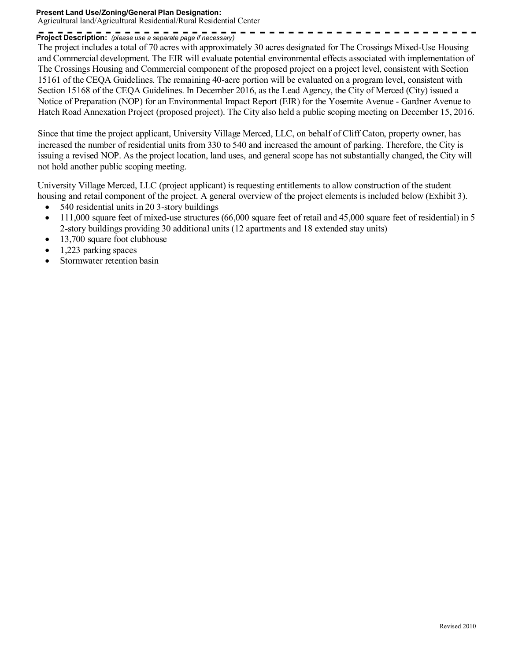## **Present Land Use/Zoning/General Plan Designation:** Agricultural land/Agricultural Residential/Rural Residential Center

## **Project Description:** *(please use a separate page if necessary)*

The project includes a total of 70 acres with approximately 30 acres designated for The Crossings Mixed-Use Housing and Commercial development. The EIR will evaluate potential environmental effects associated with implementation of The Crossings Housing and Commercial component of the proposed project on a project level, consistent with Section 15161 of the CEQA Guidelines. The remaining 40-acre portion will be evaluated on a program level, consistent with Section 15168 of the CEQA Guidelines. In December 2016, as the Lead Agency, the City of Merced (City) issued a Notice of Preparation (NOP) for an Environmental Impact Report (EIR) for the Yosemite Avenue - Gardner Avenue to Hatch Road Annexation Project (proposed project). The City also held a public scoping meeting on December 15, 2016.

Since that time the project applicant, University Village Merced, LLC, on behalf of Cliff Caton, property owner, has increased the number of residential units from 330 to 540 and increased the amount of parking. Therefore, the City is issuing a revised NOP. As the project location, land uses, and general scope has not substantially changed, the City will not hold another public scoping meeting.

University Village Merced, LLC (project applicant) is requesting entitlements to allow construction of the student housing and retail component of the project. A general overview of the project elements is included below (Exhibit 3).

- 540 residential units in 20 3-story buildings
- 111,000 square feet of mixed-use structures (66,000 square feet of retail and 45,000 square feet of residential) in 5 2-story buildings providing 30 additional units (12 apartments and 18 extended stay units)
- 13,700 square foot clubhouse
- 1,223 parking spaces
- Stormwater retention basin